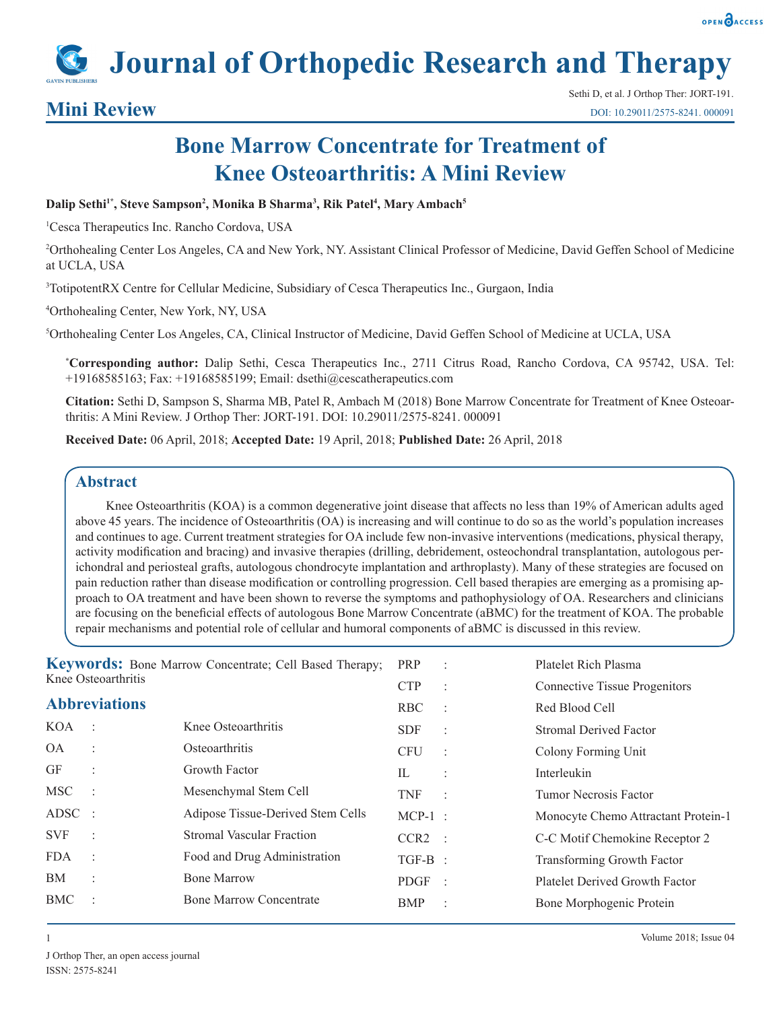

**Journal of Orthopedic Research and Therapy**

# **Mini Review**

# **Bone Marrow Concentrate for Treatment of Knee Osteoarthritis: A Mini Review**

#### Dalip Sethi<sup>1\*</sup>, Steve Sampson<sup>2</sup>, Monika B Sharma<sup>3</sup>, Rik Patel<sup>4</sup>, Mary Ambach<sup>5</sup>

1 Cesca Therapeutics Inc. Rancho Cordova, USA

2 Orthohealing Center Los Angeles, CA and New York, NY. Assistant Clinical Professor of Medicine, David Geffen School of Medicine at UCLA, USA

3 TotipotentRX Centre for Cellular Medicine, Subsidiary of Cesca Therapeutics Inc., Gurgaon, India

4 Orthohealing Center, New York, NY, USA

5 Orthohealing Center Los Angeles, CA, Clinical Instructor of Medicine, David Geffen School of Medicine at UCLA, USA

**\* Corresponding author:** Dalip Sethi, Cesca Therapeutics Inc., 2711 Citrus Road, Rancho Cordova, CA 95742, USA. Tel: +19168585163; Fax: +19168585199; Email: dsethi@cescatherapeutics.com

**Citation:** Sethi D, Sampson S, Sharma MB, Patel R, Ambach M (2018) Bone Marrow Concentrate for Treatment of Knee Osteoarthritis: A Mini Review. J Orthop Ther: JORT-191. DOI: 10.29011/2575-8241. 000091

**Received Date:** 06 April, 2018; **Accepted Date:** 19 April, 2018; **Published Date:** 26 April, 2018

#### **Abstract**

Knee Osteoarthritis (KOA) is a common degenerative joint disease that affects no less than 19% of American adults aged above 45 years. The incidence of Osteoarthritis (OA) is increasing and will continue to do so as the world's population increases and continues to age. Current treatment strategies for OA include few non-invasive interventions (medications, physical therapy, activity modification and bracing) and invasive therapies (drilling, debridement, osteochondral transplantation, autologous perichondral and periosteal grafts, autologous chondrocyte implantation and arthroplasty). Many of these strategies are focused on pain reduction rather than disease modification or controlling progression. Cell based therapies are emerging as a promising approach to OA treatment and have been shown to reverse the symptoms and pathophysiology of OA. Researchers and clinicians are focusing on the beneficial effects of autologous Bone Marrow Concentrate (aBMC) for the treatment of KOA. The probable repair mechanisms and potential role of cellular and humoral components of aBMC is discussed in this review.

| <b>Keywords:</b> Bone Marrow Concentrate; Cell Based Therapy;<br>Knee Osteoarthritis |                |                                   | PRP              |                      | Platelet Rich Plasma                 |
|--------------------------------------------------------------------------------------|----------------|-----------------------------------|------------------|----------------------|--------------------------------------|
|                                                                                      |                |                                   | <b>CTP</b>       | $\ddot{ }$           | <b>Connective Tissue Progenitors</b> |
| <b>Abbreviations</b>                                                                 |                |                                   | <b>RBC</b>       | $\ddot{\phantom{a}}$ | Red Blood Cell                       |
| <b>KOA</b>                                                                           |                | Knee Osteoarthritis               | <b>SDF</b>       | $\ddot{\phantom{a}}$ | Stromal Derived Factor               |
| <b>OA</b>                                                                            | ÷              | Osteoarthritis                    | <b>CFU</b>       | $\ddot{\phantom{a}}$ | Colony Forming Unit                  |
| GF                                                                                   | ÷              | Growth Factor                     | $\Pi$            |                      | Interleukin                          |
| <b>MSC</b>                                                                           |                | Mesenchymal Stem Cell             | TNF              | $\sim$ 1             | Tumor Necrosis Factor                |
| $\triangle$ DSC :                                                                    |                | Adipose Tissue-Derived Stem Cells | $MCP-1$ :        |                      | Monocyte Chemo Attractant Protein-1  |
| <b>SVF</b>                                                                           | $\ddot{\cdot}$ | <b>Stromal Vascular Fraction</b>  | CCR <sub>2</sub> | $\mathcal{A}$        | C-C Motif Chemokine Receptor 2       |
| <b>FDA</b>                                                                           | ÷              | Food and Drug Administration      | $TGF-B$ :        |                      | Transforming Growth Factor           |
| BM                                                                                   | $\ddot{\cdot}$ | <b>Bone Marrow</b>                | <b>PDGF</b>      | $\ddot{\phantom{1}}$ | Platelet Derived Growth Factor       |
| BMC                                                                                  | ÷              | <b>Bone Marrow Concentrate</b>    | BMP              | $\ddot{\cdot}$       | Bone Morphogenic Protein             |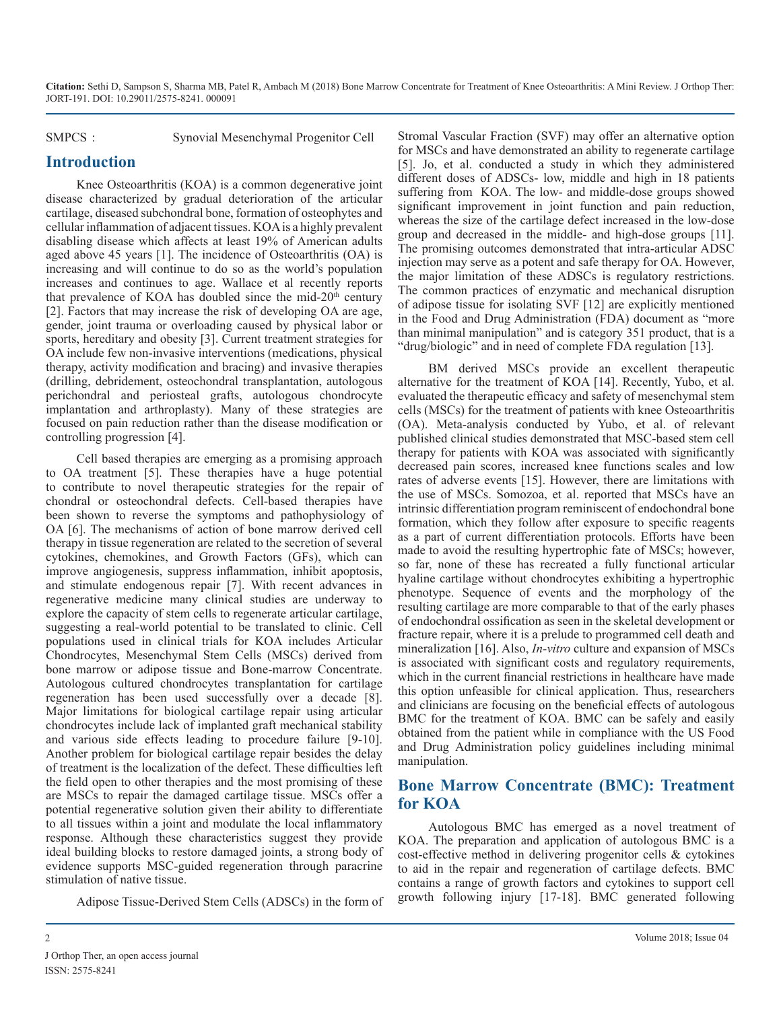SMPCS : Synovial Mesenchymal Progenitor Cell

#### **Introduction**

Knee Osteoarthritis (KOA) is a common degenerative joint disease characterized by gradual deterioration of the articular cartilage, diseased subchondral bone, formation of osteophytes and cellular inflammation of adjacent tissues. KOA is a highly prevalent disabling disease which affects at least 19% of American adults aged above 45 years [1]. The incidence of Osteoarthritis (OA) is increasing and will continue to do so as the world's population increases and continues to age. Wallace et al recently reports that prevalence of KOA has doubled since the mid- $20<sup>th</sup>$  century [2]. Factors that may increase the risk of developing OA are age, gender, joint trauma or overloading caused by physical labor or sports, hereditary and obesity [3]. Current treatment strategies for OA include few non-invasive interventions (medications, physical therapy, activity modification and bracing) and invasive therapies (drilling, debridement, osteochondral transplantation, autologous perichondral and periosteal grafts, autologous chondrocyte implantation and arthroplasty). Many of these strategies are focused on pain reduction rather than the disease modification or controlling progression [4].

Cell based therapies are emerging as a promising approach to OA treatment [5]. These therapies have a huge potential to contribute to novel therapeutic strategies for the repair of chondral or osteochondral defects. Cell-based therapies have been shown to reverse the symptoms and pathophysiology of OA [6]. The mechanisms of action of bone marrow derived cell therapy in tissue regeneration are related to the secretion of several cytokines, chemokines, and Growth Factors (GFs), which can improve angiogenesis, suppress inflammation, inhibit apoptosis, and stimulate endogenous repair [7]. With recent advances in regenerative medicine many clinical studies are underway to explore the capacity of stem cells to regenerate articular cartilage, suggesting a real-world potential to be translated to clinic. Cell populations used in clinical trials for KOA includes Articular Chondrocytes, Mesenchymal Stem Cells (MSCs) derived from bone marrow or adipose tissue and Bone-marrow Concentrate. Autologous cultured chondrocytes transplantation for cartilage regeneration has been used successfully over a decade [8]. Major limitations for biological cartilage repair using articular chondrocytes include lack of implanted graft mechanical stability and various side effects leading to procedure failure [9-10]. Another problem for biological cartilage repair besides the delay of treatment is the localization of the defect. These difficulties left the field open to other therapies and the most promising of these are MSCs to repair the damaged cartilage tissue. MSCs offer a potential regenerative solution given their ability to differentiate to all tissues within a joint and modulate the local inflammatory response. Although these characteristics suggest they provide ideal building blocks to restore damaged joints, a strong body of evidence supports MSC-guided regeneration through paracrine stimulation of native tissue.

Adipose Tissue-Derived Stem Cells (ADSCs) in the form of

Stromal Vascular Fraction (SVF) may offer an alternative option for MSCs and have demonstrated an ability to regenerate cartilage [\[](https://www.sciencedirect.com/science/article/pii/S2095809917301443#bib141)5]. Jo, et al. conducted a study in which they administered different doses of ADSCs- low, middle and high in 18 patients suffering from KOA. The low- and middle-dose groups showed significant improvement in joint function and pain reduction, whereas the size of the cartilage defect increased in the low-dose group and decreased in the middle- and high-dose groups [11]. The promising outcomes demonstrated that intra-articular ADSC injection may serve as a potent and safe therapy for OA. However, the major limitation of these ADSCs is regulatory restrictions. The common practices of enzymatic and mechanical disruption of adipose tissue for isolating SVF [12] are explicitly mentioned in the Food and Drug Administration (FDA) document as "more than minimal manipulation" and is category 351 product, that is a "drug/biologic" and in need of complete FDA regulation [13].

BM derived MSCs provide an excellent therapeutic alternative for the treatment of KOA [14]. Recently, Yubo, et al. evaluated the therapeutic efficacy and safety of mesenchymal stem cells (MSCs) for the treatment of patients with knee Osteoarthritis (OA). Meta-analysis conducted by Yubo, et al. of relevant published clinical studies demonstrated that MSC-based stem cell therapy for patients with KOA was associated with significantly decreased pain scores, increased knee functions scales and low rates of adverse events [15]. However, there are limitations with the use of MSCs. Somozoa, et al. reported that MSCs have an intrinsic differentiation program reminiscent of endochondral bone formation, which they follow after exposure to specific reagents as a part of current differentiation protocols. Efforts have been made to avoid the resulting hypertrophic fate of MSCs; however, so far, none of these has recreated a fully functional articular hyaline cartilage without chondrocytes exhibiting a hypertrophic phenotype. Sequence of events and the morphology of the resulting cartilage are more comparable to that of the early phases of endochondral ossification as seen in the skeletal development or fracture repair, where it is a prelude to programmed cell death and mineralization [16]. Also, *In-vitro* culture and expansion of MSCs is associated with significant costs and regulatory requirements, which in the current financial restrictions in healthcare have made this option unfeasible for clinical application. Thus, researchers and clinicians are focusing on the beneficial effects of autologous BMC for the treatment of KOA. BMC can be safely and easily obtained from the patient while in compliance with the US Food and Drug Administration policy guidelines including minimal manipulation.

# **Bone Marrow Concentrate (BMC): Treatment for KOA**

Autologous BMC has emerged as a novel treatment of KOA. The preparation and application of autologous BMC is a cost-effective method in delivering progenitor cells & cytokines to aid in the repair and regeneration of cartilage defects. BMC contains a range of growth factors and cytokines to support cell growth following injury [17-18]. BMC generated following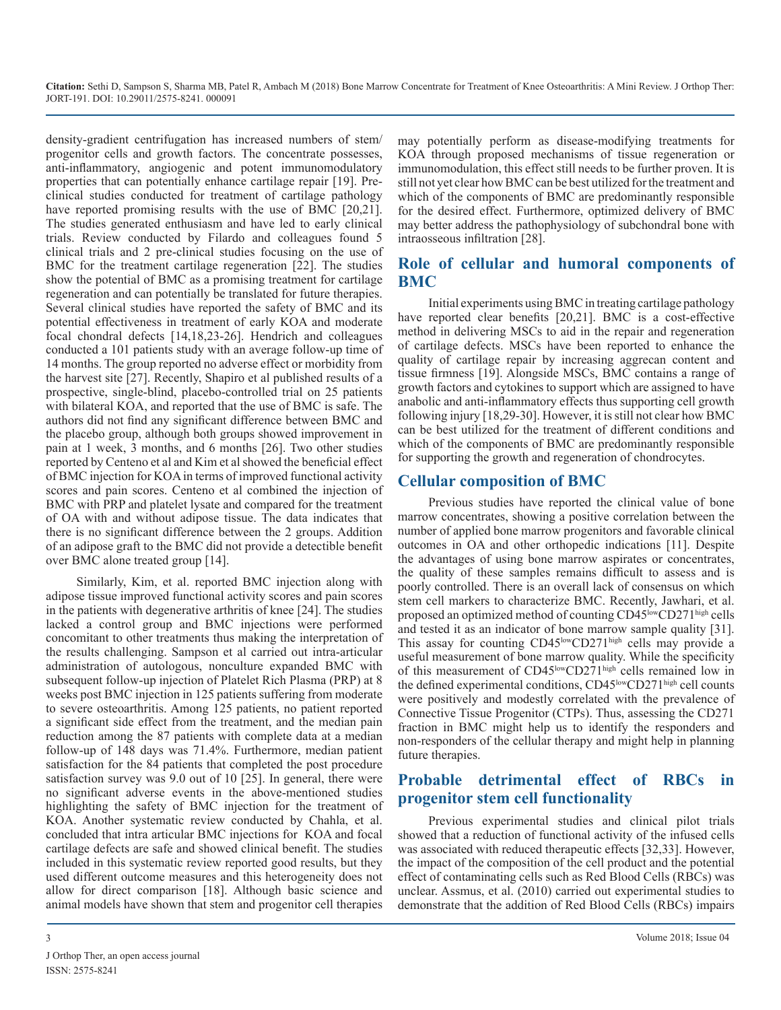density-gradient centrifugation has increased numbers of stem/ progenitor cells and growth factors. The concentrate possesses, anti-inflammatory, angiogenic and potent immunomodulatory properties that can potentially enhance cartilage repair [19]. Preclinical studies conducted for treatment of cartilage pathology have reported promising results with the use of BMC [20,21]. The studies generated enthusiasm and have led to early clinical trials. Review conducted by Filardo and colleagues found 5 clinical trials and 2 pre-clinical studies focusing on the use of BMC for the treatment cartilage regeneration [22]. The studies show the potential of BMC as a promising treatment for cartilage regeneration and can potentially be translated for future therapies. Several clinical studies have reported the safety of BMC and its potential effectiveness in treatment of early KOA and moderate focal chondral defects [14,18,23-26]. Hendrich and colleagues conducted a 101 patients study with an average follow-up time of 14 months. The group reported no adverse effect or morbidity from the harvest site [27]. Recently, Shapiro et al published results of a prospective, single-blind, placebo-controlled trial on 25 patients with bilateral KOA, and reported that the use of BMC is safe. The authors did not find any significant difference between BMC and the placebo group, although both groups showed improvement in pain at 1 week, 3 months, and 6 months [26]. Two other studies reported by Centeno et al and Kim et al showed the beneficial effect of BMC injection for KOA in terms of improved functional activity scores and pain scores. Centeno et al combined the injection of BMC with PRP and platelet lysate and compared for the treatment of OA with and without adipose tissue. The data indicates that there is no significant difference between the 2 groups. Addition of an adipose graft to the BMC did not provide a detectible benefit over BMC alone treated group [14].

Similarly, Kim, et al. reported BMC injection along with adipose tissue improved functional activity scores and pain scores in the patients with degenerative arthritis of knee [24]. The studies lacked a control group and BMC injections were performed concomitant to other treatments thus making the interpretation of the results challenging. Sampson et al carried out intra-articular administration of autologous, nonculture expanded BMC with subsequent follow-up injection of Platelet Rich Plasma (PRP) at 8 weeks post BMC injection in 125 patients suffering from moderate to severe osteoarthritis. Among 125 patients, no patient reported a significant side effect from the treatment, and the median pain reduction among the 87 patients with complete data at a median follow-up of 148 days was 71.4%. Furthermore, median patient satisfaction for the 84 patients that completed the post procedure satisfaction survey was 9.0 out of 10 [25]. In general, there were no significant adverse events in the above-mentioned studies highlighting the safety of BMC injection for the treatment of KOA. Another systematic review conducted by Chahla, et al. concluded that intra articular BMC injections for KOA and focal cartilage defects are safe and showed clinical benefit. The studies included in this systematic review reported good results, but they used different outcome measures and this heterogeneity does not allow for direct comparison [18]. Although basic science and animal models have shown that stem and progenitor cell therapies

may potentially perform as disease-modifying treatments for KOA through proposed mechanisms of tissue regeneration or immunomodulation, this effect still needs to be further proven. It is still not yet clear how BMC can be best utilized for the treatment and which of the components of BMC are predominantly responsible for the desired effect. Furthermore, optimized delivery of BMC may better address the pathophysiology of subchondral bone with intraosseous infiltration [28].

## **Role of cellular and humoral components of BMC**

Initial experiments using BMC in treating cartilage pathology have reported clear benefits [20,21]. BMC is a cost-effective method in delivering MSCs to aid in the repair and regeneration of cartilage defects. MSCs have been reported to enhance the quality of cartilage repair by increasing aggrecan content and tissue firmness [19]. Alongside MSCs, BMC contains a range of growth factors and cytokines to support which are assigned to have anabolic and anti-inflammatory effects thus supporting cell growth following injury [18,29-30]. However, it is still not clear how BMC can be best utilized for the treatment of different conditions and which of the components of BMC are predominantly responsible for supporting the growth and regeneration of chondrocytes.

### **Cellular composition of BMC**

Previous studies have reported the clinical value of bone marrow concentrates, showing a positive correlation between the number of applied bone marrow progenitors and favorable clinical outcomes in OA and other orthopedic indications [11]. Despite the advantages of using bone marrow aspirates or concentrates, the quality of these samples remains difficult to assess and is poorly controlled. There is an overall lack of consensus on which stem cell markers to characterize BMC. Recently, Jawhari, et al. proposed an optimized method of counting CD45<sup>low</sup>CD271<sup>high</sup> cells and tested it as an indicator of bone marrow sample quality [31]. This assay for counting CD45<sup>low</sup>CD271<sup>high</sup> cells may provide a useful measurement of bone marrow quality. While the specificity of this measurement of CD45<sup>low</sup>CD271<sup>high</sup> cells remained low in the defined experimental conditions, CD45<sup>low</sup>CD271<sup>high</sup> cell counts were positively and modestly correlated with the prevalence of Connective Tissue Progenitor (CTPs). Thus, assessing the CD271 fraction in BMC might help us to identify the responders and non-responders of the cellular therapy and might help in planning future therapies.

# **Probable detrimental effect of RBCs in progenitor stem cell functionality**

Previous experimental studies and clinical pilot trials showed that a reduction of functional activity of the infused cells was associated with reduced therapeutic effects [32,33]. However, the impact of the composition of the cell product and the potential effect of contaminating cells such as Red Blood Cells (RBCs) was unclear. Assmus, et al. (2010) carried out experimental studies to demonstrate that the addition of Red Blood Cells (RBCs) impairs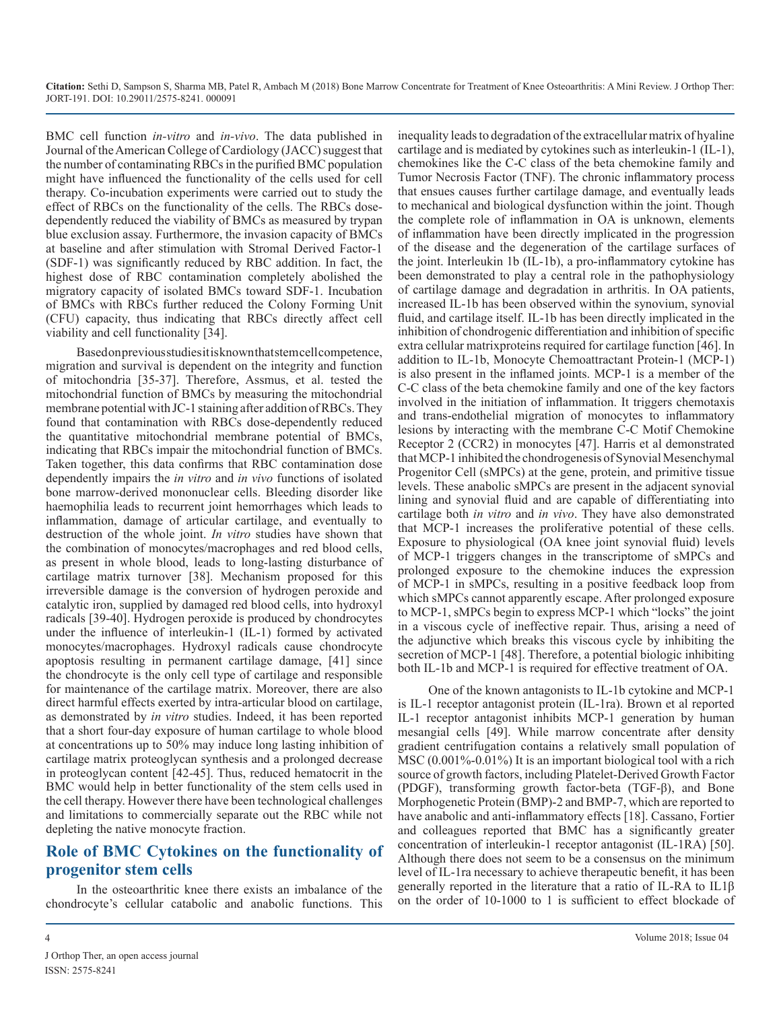BMC cell function *in-vitro* and *in-vivo*. The data published in Journal of the American College of Cardiology (JACC) suggest that the number of contaminating RBCs in the purified BMC population might have influenced the functionality of the cells used for cell therapy. Co-incubation experiments were carried out to study the effect of RBCs on the functionality of the cells. The RBCs dosedependently reduced the viability of BMCs as measured by trypan blue exclusion assay. Furthermore, the invasion capacity of BMCs at baseline and after stimulation with Stromal Derived Factor-1 (SDF-1) was significantly reduced by RBC addition. In fact, the highest dose of RBC contamination completely abolished the migratory capacity of isolated BMCs toward SDF-1. Incubation of BMCs with RBCs further reduced the Colony Forming Unit (CFU) capacity, thus indicating that RBCs directly affect cell viability and cell functionality [34].

Based on previous studies it is known that stem cell competence, migration and survival is dependent on the integrity and function of mitochondria [35-37]. Therefore, Assmus, et al. tested the mitochondrial function of BMCs by measuring the mitochondrial membrane potential with JC-1 staining after addition of RBCs. They found that contamination with RBCs dose-dependently reduced the quantitative mitochondrial membrane potential of BMCs, indicating that RBCs impair the mitochondrial function of BMCs. Taken together, this data confirms that RBC contamination dose dependently impairs the *in vitro* and *in vivo* functions of isolated bone marrow-derived mononuclear cells. Bleeding disorder like haemophilia leads to recurrent joint hemorrhages which leads to inflammation, damage of articular cartilage, and eventually to destruction of the whole joint. *In vitro* studies have shown that the combination of monocytes/macrophages and red blood cells, as present in whole blood, leads to long-lasting disturbance of cartilage matrix turnover [38]. Mechanism proposed for this irreversible damage is the conversion of hydrogen peroxide and catalytic iron, supplied by damaged red blood cells, into hydroxyl radicals [39-40]. Hydrogen peroxide is produced by chondrocytes under the influence of interleukin-1 (IL-1) formed by activated monocytes/macrophages. Hydroxyl radicals cause chondrocyte apoptosis resulting in permanent cartilage damage, [41] since the chondrocyte is the only cell type of cartilage and responsible for maintenance of the cartilage matrix. Moreover, there are also direct harmful effects exerted by intra-articular blood on cartilage, as demonstrated by *in vitro* studies. Indeed, it has been reported that a short four-day exposure of human cartilage to whole blood at concentrations up to 50% may induce long lasting inhibition of cartilage matrix proteoglycan synthesis and a prolonged decrease in proteoglycan content [42-45]. Thus, reduced hematocrit in the BMC would help in better functionality of the stem cells used in the cell therapy. However there have been technological challenges and limitations to commercially separate out the RBC while not depleting the native monocyte fraction.

# **Role of BMC Cytokines on the functionality of progenitor stem cells**

In the osteoarthritic knee there exists an imbalance of the chondrocyte's cellular catabolic and anabolic functions. This

inequality leads to degradation of the extracellular matrix of hyaline cartilage and is mediated by cytokines such as interleukin-1 (IL-1), chemokines like the C-C class of the beta chemokine family and Tumor Necrosis Factor (TNF). The chronic inflammatory process that ensues causes further cartilage damage, and eventually leads to mechanical and biological dysfunction within the joint. Though the complete role of inflammation in OA is unknown, elements of inflammation have been directly implicated in the progression of the disease and the degeneration of the cartilage surfaces of the joint. Interleukin 1b (IL-1b), a pro-inflammatory cytokine has been demonstrated to play a central role in the pathophysiology of cartilage damage and degradation in arthritis. In OA patients, increased IL-1b has been observed within the synovium, synovial fluid, and cartilage itself. IL-1b has been directly implicated in the inhibition of chondrogenic differentiation and inhibition of specific extra cellular matrixproteins required for cartilage function [46]. In addition to IL-1b, Monocyte Chemoattractant Protein-1 (MCP-1) is also present in the inflamed joints. MCP-1 is a member of the C-C class of the beta chemokine family and one of the key factors involved in the initiation of inflammation. It triggers chemotaxis and trans-endothelial migration of monocytes to inflammatory lesions by interacting with the membrane C-C Motif Chemokine Receptor 2 (CCR2) in monocytes [47]. Harris et al demonstrated that MCP-1 inhibited the chondrogenesis of Synovial Mesenchymal Progenitor Cell (sMPCs) at the gene, protein, and primitive tissue levels. These anabolic sMPCs are present in the adjacent synovial lining and synovial fluid and are capable of differentiating into cartilage both *in vitro* and *in vivo*. They have also demonstrated that MCP-1 increases the proliferative potential of these cells. Exposure to physiological (OA knee joint synovial fluid) levels of MCP-1 triggers changes in the transcriptome of sMPCs and prolonged exposure to the chemokine induces the expression of MCP-1 in sMPCs, resulting in a positive feedback loop from which sMPCs cannot apparently escape. After prolonged exposure to MCP-1, sMPCs begin to express MCP-1 which "locks" the joint in a viscous cycle of ineffective repair. Thus, arising a need of the adjunctive which breaks this viscous cycle by inhibiting the secretion of MCP-1 [48]. Therefore, a potential biologic inhibiting both IL-1b and MCP-1 is required for effective treatment of OA.

One of the known antagonists to IL-1b cytokine and MCP-1 is IL-1 receptor antagonist protein (IL-1ra). Brown et al reported IL-1 receptor antagonist inhibits MCP-1 generation by human mesangial cells [49]. While marrow concentrate after density gradient centrifugation contains a relatively small population of MSC (0.001%-0.01%) It is an important biological tool with a rich source of growth factors, including Platelet-Derived Growth Factor (PDGF), transforming growth factor-beta (TGF-β), and Bone Morphogenetic Protein (BMP)-2 and BMP-7, which are reported to have anabolic and anti-inflammatory effects [18]. Cassano, Fortier and colleagues reported that BMC has a significantly greater concentration of interleukin-1 receptor antagonist (IL-1RA) [50]. Although there does not seem to be a consensus on the minimum level of IL-1ra necessary to achieve therapeutic benefit, it has been generally reported in the literature that a ratio of IL-RA to IL1β on the order of 10-1000 to 1 is sufficient to effect blockade of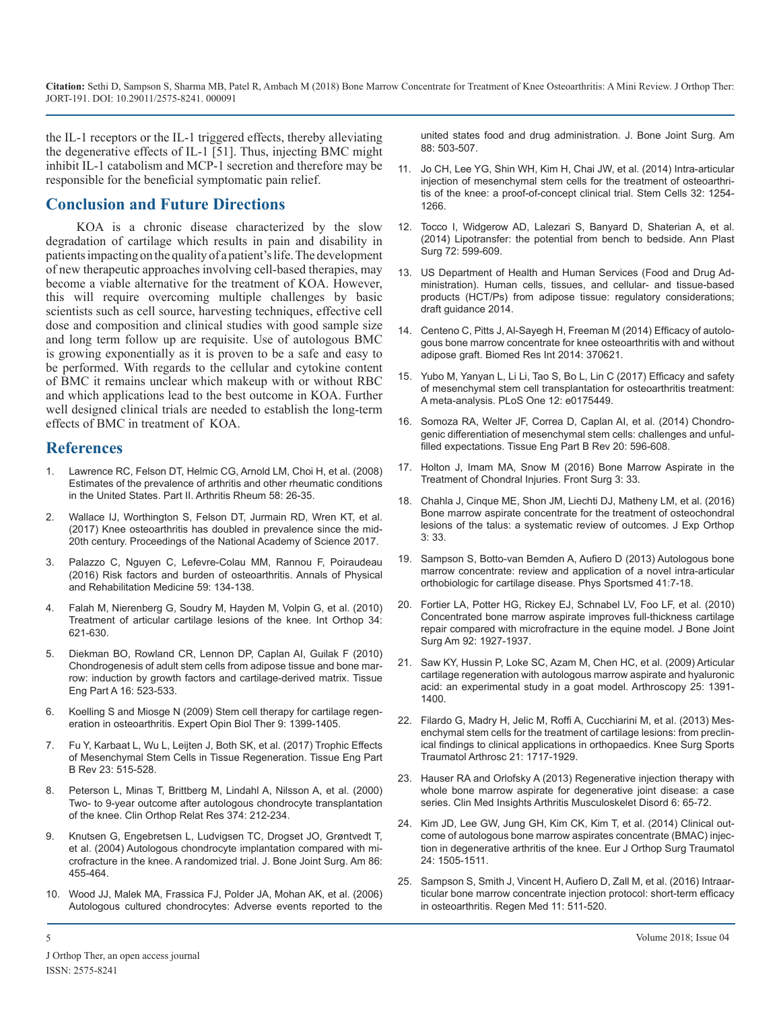the IL-1 receptors or the IL-1 triggered effects, thereby alleviating the degenerative effects of IL-1 [51]. Thus, injecting BMC might inhibit IL-1 catabolism and MCP-1 secretion and therefore may be [responsible for the beneficial symptomatic pain relief.](https://www.ncbi.nlm.nih.gov/pubmed/24449146)

#### **Conclusion and Future Directions**

KOA is a chronic disease characterized by the slow [degradation of cartilage which results in pain and disability in](https://www.ncbi.nlm.nih.gov/pubmed/24732078)  patients impacting on the quality of a patient's life. The development of new therapeutic approaches involving cell-based therapies, may [become a viable alternative for the treatment of KOA. However,](https://www.ifats.org/assets/docs/01 - Guidance -Draft Adipose Tissue.pdf)  this will require overcoming multiple challenges by basic scientists such as cell source, harvesting techniques, effective cell dose and composition and clinical studies with good sample size [and long term follow up are requisite. Use of autologous BMC](https://www.ncbi.nlm.nih.gov/pubmed/25276781)  is growing exponentially as it is proven to be a safe and easy to be performed. With regards to the cellular and cytokine content of BMC it remains unclear which makeup with or without RBC and which applications lead to the best outcome in KOA. Further well designed clinical trials are needed to establish the long-term effects of BMC in treatment of KOA.

#### **References**

- 1. [Lawrence RC, Felson DT, Helmic CG, Arnold LM, Choi H, et al. \(2008\)](https://www.ncbi.nlm.nih.gov/pmc/articles/PMC3266664/)  [Estimates of the prevalence of arthritis and other rheumatic conditions](https://www.ncbi.nlm.nih.gov/pmc/articles/PMC3266664/) [in the United States. Part II. Arthritis Rheum 58: 26-35.](https://www.ncbi.nlm.nih.gov/pmc/articles/PMC3266664/)
- 2. Wallace IJ, Worthington S, [Felson DT, Jurmain RD, Wren KT, et al.](http://www.pnas.org/content/114/35/9332) [\(2017\) Knee osteoarthritis has doubled in prevalence since the mid-](http://www.pnas.org/content/114/35/9332)[20th century. Proceedings of the National Academy of Science 2017.](http://www.pnas.org/content/114/35/9332)
- 3. [Palazzo C, Nguyen C, Lefevre-Colau MM, Rannou F, Poiraudeau](https://www.ncbi.nlm.nih.gov/pubmed/26904959)  [\(2016\) Risk factors and burden of osteoarthritis. Annals of Physical](https://www.ncbi.nlm.nih.gov/pubmed/26904959)  [and Rehabilitation Medicine 59: 134-138.](https://www.ncbi.nlm.nih.gov/pubmed/26904959)
- 4. [Falah M, Nierenberg G, Soudry M, Hayden M, Volpin G, et al. \(2010\)](https://www.ncbi.nlm.nih.gov/pubmed/20162416)  [Treatment of articular cartilage lesions of the knee. Int Orthop 34:](https://www.ncbi.nlm.nih.gov/pubmed/20162416)  [621-630.](https://www.ncbi.nlm.nih.gov/pubmed/20162416)
- 5. [Diekman BO, Rowland CR, Lennon DP, Caplan AI, Guilak F \(2010\)](https://www.ncbi.nlm.nih.gov/pubmed/?term=Chondrogenesis+of+adult+stem+cells+from+adipose+tissue+and+bone+marrow%3A+induction+by+growth+factors+and+cartilage-derived+matrix.+Tissue+Eng+Part+A)  [Chondrogenesis of adult stem cells from adipose tissue and bone mar](https://www.ncbi.nlm.nih.gov/pubmed/?term=Chondrogenesis+of+adult+stem+cells+from+adipose+tissue+and+bone+marrow%3A+induction+by+growth+factors+and+cartilage-derived+matrix.+Tissue+Eng+Part+A)[row: induction by growth factors and cartilage-derived matrix. Tissue](https://www.ncbi.nlm.nih.gov/pubmed/?term=Chondrogenesis+of+adult+stem+cells+from+adipose+tissue+and+bone+marrow%3A+induction+by+growth+factors+and+cartilage-derived+matrix.+Tissue+Eng+Part+A)  Eng Part A [16: 523-533.](https://www.ncbi.nlm.nih.gov/pubmed/?term=Chondrogenesis+of+adult+stem+cells+from+adipose+tissue+and+bone+marrow%3A+induction+by+growth+factors+and+cartilage-derived+matrix.+Tissue+Eng+Part+A)
- 6. [Koelling S and Miosge N \(2009\) Stem cell therapy for cartilage regen](https://www.ncbi.nlm.nih.gov/pubmed/19793003)[eration in osteoarthritis. Expert Opin Biol Ther 9: 1399-1405.](https://www.ncbi.nlm.nih.gov/pubmed/19793003)
- 7. [Fu Y, Karbaat L, Wu L, Leijten J, Both SK, et al. \(2017\) Trophic Effects](https://www.ncbi.nlm.nih.gov/pubmed/28490258) [of Mesenchymal Stem Cells in Tissue Regeneration. Tissue Eng Part](https://www.ncbi.nlm.nih.gov/pubmed/28490258)  [B Rev 23: 515-528.](https://www.ncbi.nlm.nih.gov/pubmed/28490258)
- 8. [Peterson L, Minas T, Brittberg M, Lindahl A, Nilsson A, et al. \(2000\)](https://www.ncbi.nlm.nih.gov/pubmed/?term=Two-+to+9-year+outcome+after+autologous+chondrocyte+transplantation+of+the+knee.+Clin+Orthop+Relat+Res) [Two- to 9-year outcome after autologous chondrocyte transplantation](https://www.ncbi.nlm.nih.gov/pubmed/?term=Two-+to+9-year+outcome+after+autologous+chondrocyte+transplantation+of+the+knee.+Clin+Orthop+Relat+Res)  [of the knee. Clin Orthop Relat Res 374: 212-234.](https://www.ncbi.nlm.nih.gov/pubmed/?term=Two-+to+9-year+outcome+after+autologous+chondrocyte+transplantation+of+the+knee.+Clin+Orthop+Relat+Res)
- 9. [Knutsen G, Engebretsen L, Ludvigsen TC, Drogset JO, Grøntvedt T](https://www.ncbi.nlm.nih.gov/pubmed/27535435)[,](https://www.ncbi.nlm.nih.gov/pubmed/?term=Clinical+outcome+of+autologous+bone+marrow+aspirates+concentrate+(BMAC)+injection+in+degenerative+arthritis+of+the+knee.+Eur+J+Orthop+Surg+Traumatol)  [et al. \(2004\) Autologous chondrocyte implantation compared with mi](https://www.ncbi.nlm.nih.gov/pubmed/27535435)[crofracture in the knee. A randomized trial. J. Bone Joint Surg. Am 86:](https://www.ncbi.nlm.nih.gov/pubmed/27535435) [455-464.](https://www.ncbi.nlm.nih.gov/pubmed/27535435)
- 10. [Wood JJ, Malek MA, Frassica FJ, Polder JA, Mohan AK, et al. \(2006\)](https://www.ncbi.nlm.nih.gov/pubmed/?term=Autologous+cultured+chondrocytes%3A+Adverse+events+reported+to+the+united+states+food+and+drug+administration.+J.+Bone+Joint+Surg.+Am)  [Autologous cultured chondrocytes: Adverse events reported to the](https://www.ncbi.nlm.nih.gov/pubmed/?term=Autologous+cultured+chondrocytes%3A+Adverse+events+reported+to+the+united+states+food+and+drug+administration.+J.+Bone+Joint+Surg.+Am)

[united states food and drug administration. J. Bone Joint Surg. Am](https://www.ncbi.nlm.nih.gov/pubmed/?term=Autologous+cultured+chondrocytes%3A+Adverse+events+reported+to+the+united+states+food+and+drug+administration.+J.+Bone+Joint+Surg.+Am)  [88: 503-507.](https://www.ncbi.nlm.nih.gov/pubmed/?term=Autologous+cultured+chondrocytes%3A+Adverse+events+reported+to+the+united+states+food+and+drug+administration.+J.+Bone+Joint+Surg.+Am)

- 11. [Jo CH, Lee YG, Shin WH, Kim H, Chai JW, et al. \(2014\) Intra-articular](https://www.ncbi.nlm.nih.gov/pubmed/24449146)  injection of mesenchymal stem cells for the treatment of osteoarthri[tis of the knee: a proof-of-concept clinical trial. Stem Cells](https://www.ncbi.nlm.nih.gov/pubmed/24449146) 32: 1254- [1266.](https://www.ncbi.nlm.nih.gov/pubmed/24449146)
- 12. [Tocco I, Widgerow AD, Lalezari S, Banyard D, Shaterian A, et al.](https://www.ncbi.nlm.nih.gov/pubmed/24732078)  (2014) Lipotransfer: the potential from bench to bedside. Ann Plast [Surg 72: 599-609.](https://www.ncbi.nlm.nih.gov/pubmed/24732078)
- 13. [US Department of Health and Human Services \(Food and Drug Ad](https://www.ifats.org/assets/docs/01  Guidance -Draft Adipose Tissue.pdf)ministration). Human cells, tissues, and cellular- and tissue-based [products \(HCT/Ps\) from adipose tissue: regulatory considerations;](https://www.ifats.org/assets/docs/01 - Guidance -Draft Adipose Tissue.pdf)  [draft guidance 2014.](https://www.ifats.org/assets/docs/01 - Guidance -Draft Adipose Tissue.pdf)
- 14. [Centeno C, Pitts J, Al-Sayegh H, Freeman M \(2014\) Efficacy of autolo](https://www.ncbi.nlm.nih.gov/pubmed/25276781)gous bone marrow concentrate for knee osteoarthritis with and without [adipose graft. Biomed Res Int 2014: 370621.](https://www.ncbi.nlm.nih.gov/pubmed/25276781)
- 15. [Yubo M, Yanyan L, Li Li, Tao S, Bo L, Lin C \(2017\) Efficacy and safety](https://www.ncbi.nlm.nih.gov/pubmed/?term=Efficacy+and+safety+of+mesenchymal+stem+cell+transplantation+for+osteoarthritis+treatment%3A+A+meta-analysis.+PLoS+One)  [of mesenchymal stem cell transplantation for osteoarthritis treatment:](https://www.ncbi.nlm.nih.gov/pubmed/?term=Efficacy+and+safety+of+mesenchymal+stem+cell+transplantation+for+osteoarthritis+treatment%3A+A+meta-analysis.+PLoS+One) [A meta-analysis. PLoS One 12: e0175449.](https://www.ncbi.nlm.nih.gov/pubmed/?term=Efficacy+and+safety+of+mesenchymal+stem+cell+transplantation+for+osteoarthritis+treatment%3A+A+meta-analysis.+PLoS+One)
- 16. [Somoza RA, Welter JF, Correa D, Caplan AI, et al. \(2014\) Chondro](https://www.ncbi.nlm.nih.gov/pubmed/?term=Chondrogenic+differentiation+of+mesenchymal+stem+cells%3A+challenges+and+unfulfilled+expectations.+Tissue+Eng+Part+B+Rev)[genic differentiation of mesenchymal stem cells: challenges and unful](https://www.ncbi.nlm.nih.gov/pubmed/?term=Chondrogenic+differentiation+of+mesenchymal+stem+cells%3A+challenges+and+unfulfilled+expectations.+Tissue+Eng+Part+B+Rev)[filled expectations. Tissue Eng Part B Rev 20: 596-608](https://www.ncbi.nlm.nih.gov/pubmed/?term=Chondrogenic+differentiation+of+mesenchymal+stem+cells%3A+challenges+and+unfulfilled+expectations.+Tissue+Eng+Part+B+Rev).
- 17. [Holton J, Imam MA, Snow M \(2016\) Bone Marrow Aspirate in the](https://www.ncbi.nlm.nih.gov/pubmed/?term=Bone+Marrow+Aspirate+in+the+Treatment+of+Chondral+Injuries.+Front+Surg)  Treatment of Chondral Injuries. Front Surg 3: 33.
- 18. [Chahla J, Cinque ME, Shon JM, Liechti DJ, Matheny LM, et al. \(2016\)](https://www.ncbi.nlm.nih.gov/pmc/articles/PMC5095091/) [Bone marrow aspirate concentrate for the treatment of osteochondral](https://www.ncbi.nlm.nih.gov/pmc/articles/PMC5095091/)  [lesions of the talus: a systematic review of outcomes. J Exp Orthop](https://www.ncbi.nlm.nih.gov/pmc/articles/PMC5095091/)  [3: 33.](https://www.ncbi.nlm.nih.gov/pmc/articles/PMC5095091/)
- 19. [Sampson S, Botto-van Bemden A, Aufiero D \(2013\) Autologous bone](https://www.ncbi.nlm.nih.gov/pubmed/24113698)  [marrow concentrate: review and application of a novel intra-articular](https://www.ncbi.nlm.nih.gov/pubmed/24113698)  [orthobiologic for cartilage disease. Phys Sportsmed 41:7-18.](https://www.ncbi.nlm.nih.gov/pubmed/24113698)
- 20. [Fortier LA, Potter HG, Rickey EJ, Schnabel LV, Foo LF, et al. \(2010\)](https://www.ncbi.nlm.nih.gov/pubmed/20720135) [Concentrated bone marrow aspirate improves full-thickness cartilage](https://www.ncbi.nlm.nih.gov/pubmed/20720135)  [repair compared with microfracture in the equine model. J Bone Joint](https://www.ncbi.nlm.nih.gov/pubmed/20720135)  [Surg Am 92: 1927-1937.](https://www.ncbi.nlm.nih.gov/pubmed/20720135)
- 21. [Saw KY, Hussin P, Loke SC, Azam M, Chen HC, et al. \(2009\) Articular](https://www.ncbi.nlm.nih.gov/pubmed/?term=Articular+cartilage+regeneration+with+autologous+marrow+aspirate+and+hyaluronic+acid%3A+an+experimental+study+in+a+goat+model.+Arthroscopy)  [cartilage regeneration with autologous marrow aspirate and hyaluronic](https://www.ncbi.nlm.nih.gov/pubmed/?term=Articular+cartilage+regeneration+with+autologous+marrow+aspirate+and+hyaluronic+acid%3A+an+experimental+study+in+a+goat+model.+Arthroscopy)  [acid: an experimental study in a goat model.](https://www.ncbi.nlm.nih.gov/pubmed/?term=Articular+cartilage+regeneration+with+autologous+marrow+aspirate+and+hyaluronic+acid%3A+an+experimental+study+in+a+goat+model.+Arthroscopy) Arthroscopy 25: 1391- [1400.](https://www.ncbi.nlm.nih.gov/pubmed/?term=Articular+cartilage+regeneration+with+autologous+marrow+aspirate+and+hyaluronic+acid%3A+an+experimental+study+in+a+goat+model.+Arthroscopy)
- 22. [Filardo G, Madry H, Jelic M, Roffi A, Cucchiarini M, et al. \(2013\)](https://www.ncbi.nlm.nih.gov/pubmed/23306713) Mes[enchymal stem cells for the treatment of cartilage lesions: from preclin](https://www.ncbi.nlm.nih.gov/pubmed/23306713)[ical findings to clinical applications in orthopaedics.](https://www.ncbi.nlm.nih.gov/pubmed/23306713) Knee Surg Sports [Traumatol Arthrosc 21: 1717-1929.](https://www.ncbi.nlm.nih.gov/pubmed/23306713)
- 23. [Hauser RA and Orlofsky A \(2013\) Regenerative injection therapy with](https://www.ncbi.nlm.nih.gov/pubmed/24046512) whole bone marrow aspirate for degenerative joint disease: a case [series. Clin Med Insights Arthritis Musculoskelet Disord 6: 65-72.](https://www.ncbi.nlm.nih.gov/pubmed/24046512)
- 24. [Kim JD, Lee GW, Jung GH, Kim CK, Kim T, et al. \(2014\) Clinical out](https://www.ncbi.nlm.nih.gov/pubmed/?term=Clinical+outcome+of+autologous+bone+marrow+aspirates+concentrate+(BMAC)+injection+in+degenerative+arthritis+of+the+knee.+Eur+J+Orthop+Surg+Traumatol)come of autologous bone marrow aspirates concentrate (BMAC) injec[tion in degenerative arthritis of the knee. Eur J Orthop Surg Traumatol](https://www.ncbi.nlm.nih.gov/pubmed/?term=Clinical+outcome+of+autologous+bone+marrow+aspirates+concentrate+(BMAC)+injection+in+degenerative+arthritis+of+the+knee.+Eur+J+Orthop+Surg+Traumatol)  [24: 1505-1511.](https://www.ncbi.nlm.nih.gov/pubmed/?term=Clinical+outcome+of+autologous+bone+marrow+aspirates+concentrate+(BMAC)+injection+in+degenerative+arthritis+of+the+knee.+Eur+J+Orthop+Surg+Traumatol)
- 25. [Sampson S, Smith J, Vincent H, Aufiero D, Zall M, et al. \(2016\) Intraar](https://www.ncbi.nlm.nih.gov/pubmed/?term=Intraarticular+bone+marrow+concentrate+injection+protocol%3A+short-term+efficacy+in+osteoarthritis.+Regen+Med)[ticular bone marrow concentrate injection protocol: short-term efficacy](https://www.ncbi.nlm.nih.gov/pubmed/?term=Intraarticular+bone+marrow+concentrate+injection+protocol%3A+short-term+efficacy+in+osteoarthritis.+Regen+Med)  [in osteoarthritis. Regen Med 11: 511-520.](https://www.ncbi.nlm.nih.gov/pubmed/?term=Intraarticular+bone+marrow+concentrate+injection+protocol%3A+short-term+efficacy+in+osteoarthritis.+Regen+Med)